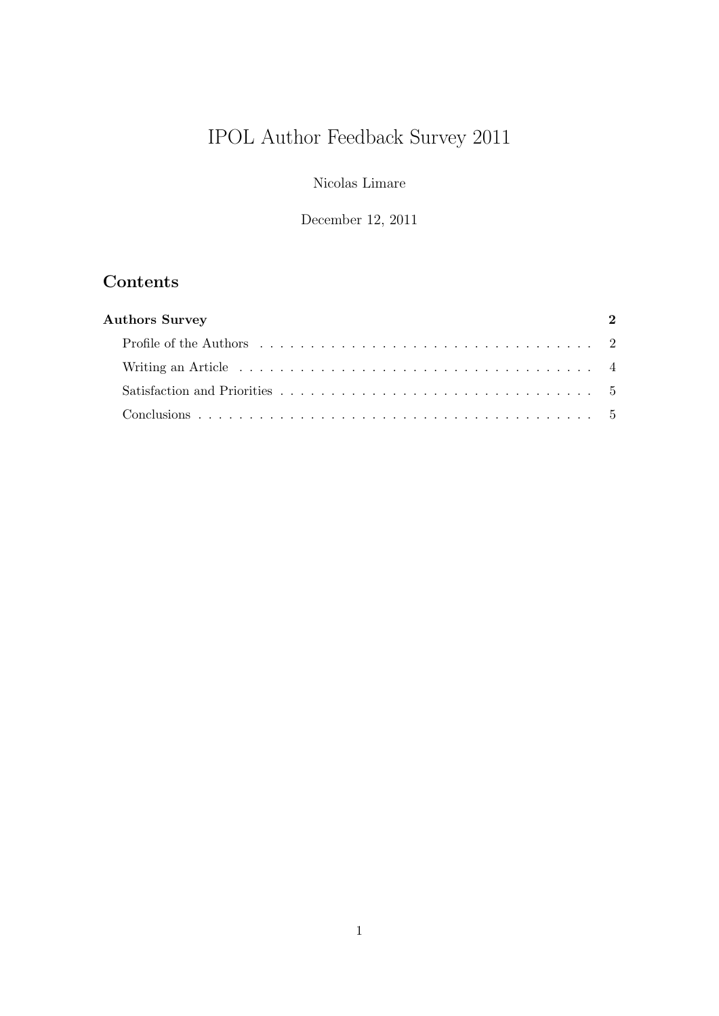# IPOL Author Feedback Survey 2011

Nicolas Limare

December 12, 2011

## Contents

| <b>Authors Survey</b> | $\mathcal{D}$ |
|-----------------------|---------------|
|                       |               |
|                       |               |
|                       |               |
|                       |               |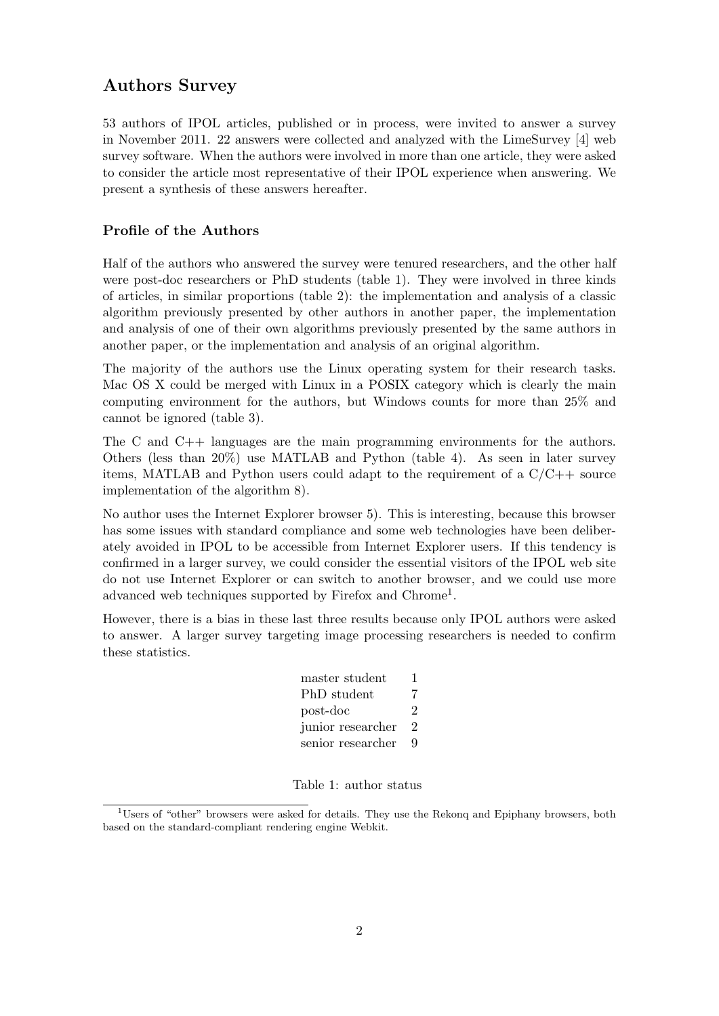## Authors Survey

<span id="page-1-0"></span>53 authors of IPOL articles, published or in process, were invited to answer a survey in November 2011. 22 answers were collected and analyzed with the LimeSurvey [\[4\]](#page-5-0) web survey software. When the authors were involved in more than one article, they were asked to consider the article most representative of their IPOL experience when answering. We present a synthesis of these answers hereafter.

### Profile of the Authors

<span id="page-1-1"></span>Half of the authors who answered the survey were tenured researchers, and the other half were post-doc researchers or PhD students (table [1\)](#page-1-2). They were involved in three kinds of articles, in similar proportions (table [2\)](#page-2-0): the implementation and analysis of a classic algorithm previously presented by other authors in another paper, the implementation and analysis of one of their own algorithms previously presented by the same authors in another paper, or the implementation and analysis of an original algorithm.

The majority of the authors use the Linux operating system for their research tasks. Mac OS X could be merged with Linux in a POSIX category which is clearly the main computing environment for the authors, but Windows counts for more than 25% and cannot be ignored (table [3\)](#page-2-1).

The C and C++ languages are the main programming environments for the authors. Others (less than 20%) use MATLAB and Python (table [4\)](#page-2-2). As seen in later survey items, MATLAB and Python users could adapt to the requirement of a  $C/C++$  source implementation of the algorithm [8\)](#page-3-1).

No author uses the Internet Explorer browser [5\)](#page-2-3). This is interesting, because this browser has some issues with standard compliance and some web technologies have been deliberately avoided in IPOL to be accessible from Internet Explorer users. If this tendency is confirmed in a larger survey, we could consider the essential visitors of the IPOL web site do not use Internet Explorer or can switch to another browser, and we could use more advanced web techniques supported by Firefox and Chrome<sup>[1](#page-1-3)</sup>.

However, there is a bias in these last three results because only IPOL authors were asked to answer. A larger survey targeting image processing researchers is needed to confirm these statistics.

| master student    | ı. |
|-------------------|----|
| PhD student       | 7  |
| post-doc          | 2  |
| junior researcher | 2  |
| senior researcher | Q  |

<span id="page-1-2"></span>Table 1: author status

<span id="page-1-3"></span><sup>&</sup>lt;sup>1</sup>Users of "other" browsers were asked for details. They use the Rekonq and Epiphany browsers, both based on the standard-compliant rendering engine Webkit.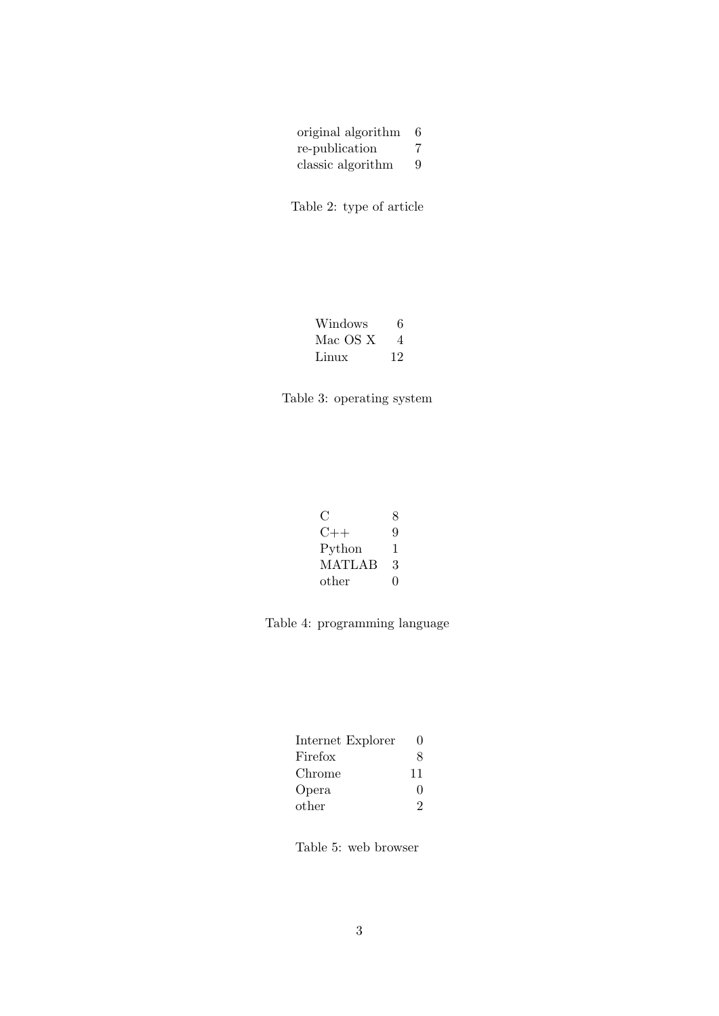| original algorithm | 6 |
|--------------------|---|
| re-publication     | 7 |
| classic algorithm  | 9 |

<span id="page-2-0"></span>Table 2: type of article

| Windows  | 6  |
|----------|----|
| Mac OS X | 4  |
| Linux    | 12 |

<span id="page-2-1"></span>

| € :           | 8 |
|---------------|---|
| (1)           | 9 |
| Python        | 1 |
| <b>MATLAB</b> | 3 |
| other         | 0 |

<span id="page-2-2"></span>Table 4: programming language

| Internet Explorer | 0            |
|-------------------|--------------|
| Firefox           | 8            |
| Chrome            | 11           |
| Opera             | $\mathbf{0}$ |
| other             | ')           |

<span id="page-2-3"></span>Table 5: web browser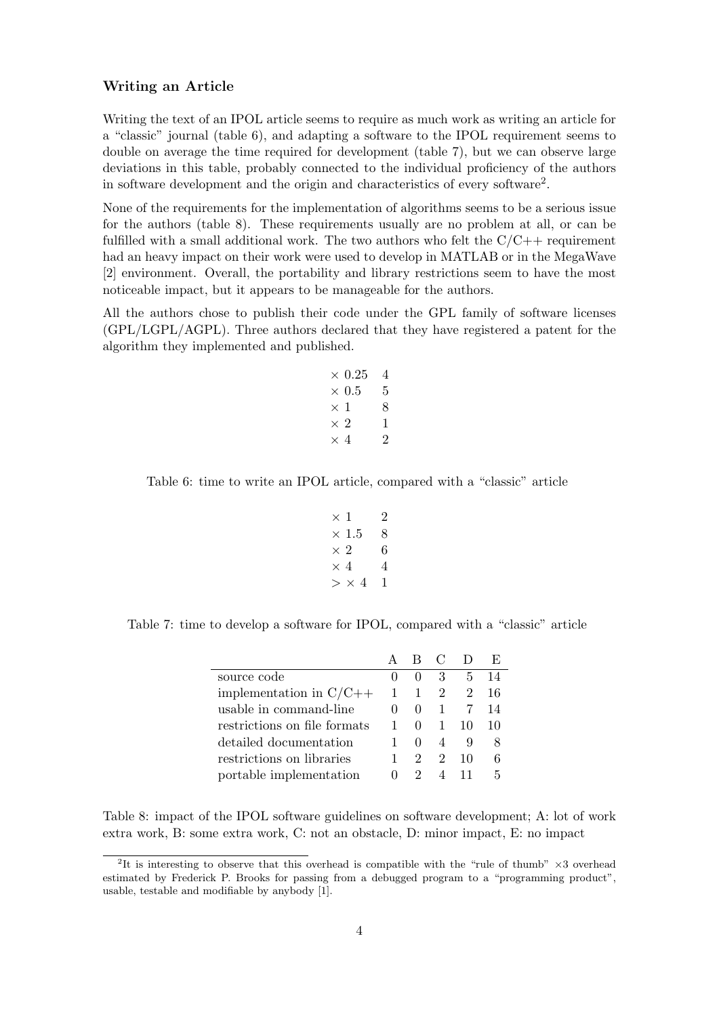#### Writing an Article

<span id="page-3-0"></span>Writing the text of an IPOL article seems to require as much work as writing an article for a "classic" journal (table [6\)](#page-3-2), and adapting a software to the IPOL requirement seems to double on average the time required for development (table [7\)](#page-3-3), but we can observe large deviations in this table, probably connected to the individual proficiency of the authors in software development and the origin and characteristics of every software[2](#page-3-4) .

None of the requirements for the implementation of algorithms seems to be a serious issue for the authors (table [8\)](#page-3-1). These requirements usually are no problem at all, or can be fulfilled with a small additional work. The two authors who felt the  $C/C++$  requirement had an heavy impact on their work were used to develop in MATLAB or in the MegaWave [\[2\]](#page-5-1) environment. Overall, the portability and library restrictions seem to have the most noticeable impact, but it appears to be manageable for the authors.

All the authors chose to publish their code under the GPL family of software licenses (GPL/LGPL/AGPL). Three authors declared that they have registered a patent for the algorithm they implemented and published.

> $\times$  0.25  $\hphantom{0}4$  $\times$  0.5  $-$  5  $\times 1$  8  $\times$  2 1  $\times$  4 2

<span id="page-3-2"></span>Table 6: time to write an IPOL article, compared with a "classic" article

$$
\begin{array}{ccc}\n \times & 1 & 2 \\
\times & 1.5 & 8 \\
\times & 2 & 6 \\
\times & 4 & 4 \\
\gtimes & \times & 4 & 1\n \end{array}
$$

<span id="page-3-3"></span>Table 7: time to develop a software for IPOL, compared with a "classic" article

|                              |              | - B C                 |                             |    | E. |
|------------------------------|--------------|-----------------------|-----------------------------|----|----|
| source code                  | $\mathbf{0}$ | $\mathbf{0}$          | 3                           | 5  | 14 |
| implementation in $C/C++$    | 1            | 1                     | $\overline{2}$              | 2  | 16 |
| usable in command-line       | $\mathbf{0}$ | $\theta$              | $\mathbf{1}$                |    | 14 |
| restrictions on file formats |              | $\mathbf{0}$          | $\mathbf{1}$                | 10 | 10 |
| detailed documentation       |              | $\mathbf{0}$          |                             | 9  | 8  |
| restrictions on libraries    |              | $\mathcal{D}_{\cdot}$ | $\mathcal{D}_{\mathcal{L}}$ | 10 | 6  |
| portable implementation      | $\mathbf{0}$ | $2^{\circ}$           | $\overline{4}$              |    | 5  |

<span id="page-3-1"></span>Table 8: impact of the IPOL software guidelines on software development; A: lot of work extra work, B: some extra work, C: not an obstacle, D: minor impact, E: no impact

<span id="page-3-4"></span><sup>&</sup>lt;sup>2</sup>It is interesting to observe that this overhead is compatible with the "rule of thumb"  $\times$ 3 overhead estimated by Frederick P. Brooks for passing from a debugged program to a "programming product", usable, testable and modifiable by anybody [\[1\]](#page-5-2).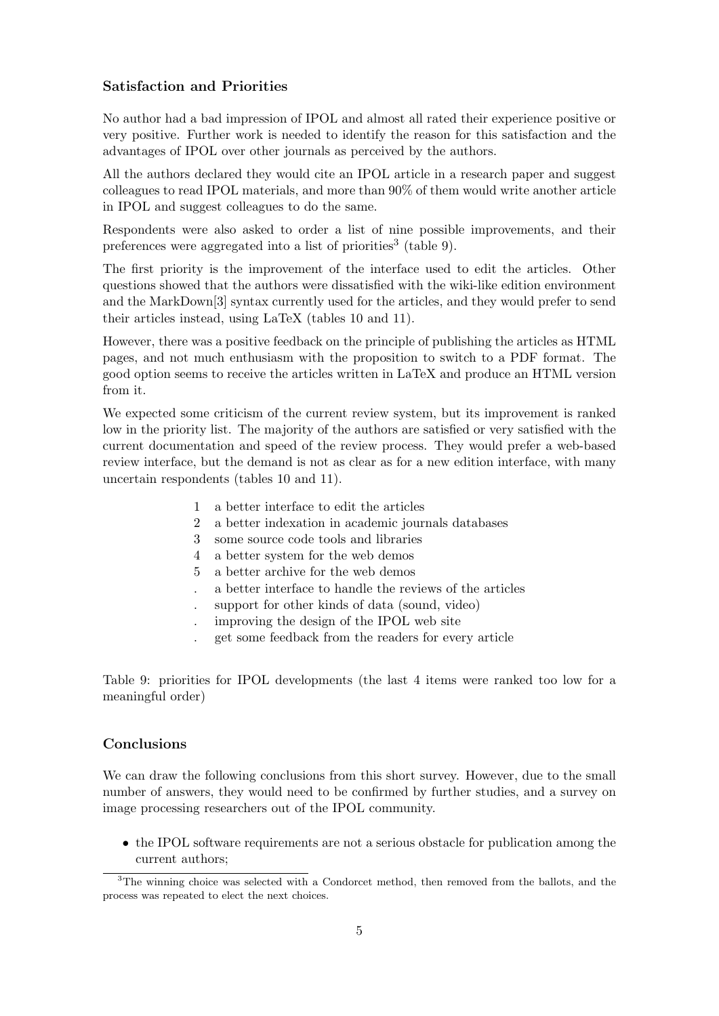#### Satisfaction and Priorities

<span id="page-4-0"></span>No author had a bad impression of IPOL and almost all rated their experience positive or very positive. Further work is needed to identify the reason for this satisfaction and the advantages of IPOL over other journals as perceived by the authors.

All the authors declared they would cite an IPOL article in a research paper and suggest colleagues to read IPOL materials, and more than 90% of them would write another article in IPOL and suggest colleagues to do the same.

Respondents were also asked to order a list of nine possible improvements, and their preferences were aggregated into a list of priorities<sup>[3](#page-4-2)</sup> (table [9\)](#page-4-3).

The first priority is the improvement of the interface used to edit the articles. Other questions showed that the authors were dissatisfied with the wiki-like edition environment and the MarkDown[\[3\]](#page-5-3) syntax currently used for the articles, and they would prefer to send their articles instead, using LaTeX (tables [10](#page-5-4) and [11\)](#page-5-5).

However, there was a positive feedback on the principle of publishing the articles as HTML pages, and not much enthusiasm with the proposition to switch to a PDF format. The good option seems to receive the articles written in LaTeX and produce an HTML version from it.

We expected some criticism of the current review system, but its improvement is ranked low in the priority list. The majority of the authors are satisfied or very satisfied with the current documentation and speed of the review process. They would prefer a web-based review interface, but the demand is not as clear as for a new edition interface, with many uncertain respondents (tables [10](#page-5-4) and [11\)](#page-5-5).

- 1 a better interface to edit the articles
- 2 a better indexation in academic journals databases
- 3 some source code tools and libraries
- 4 a better system for the web demos
- 5 a better archive for the web demos
- . a better interface to handle the reviews of the articles
- . support for other kinds of data (sound, video)
- . improving the design of the IPOL web site
- <span id="page-4-3"></span>. get some feedback from the readers for every article

Table 9: priorities for IPOL developments (the last 4 items were ranked too low for a meaningful order)

#### Conclusions

<span id="page-4-1"></span>We can draw the following conclusions from this short survey. However, due to the small number of answers, they would need to be confirmed by further studies, and a survey on image processing researchers out of the IPOL community.

• the IPOL software requirements are not a serious obstacle for publication among the current authors;

<span id="page-4-2"></span><sup>&</sup>lt;sup>3</sup>The winning choice was selected with a Condorcet method, then removed from the ballots, and the process was repeated to elect the next choices.